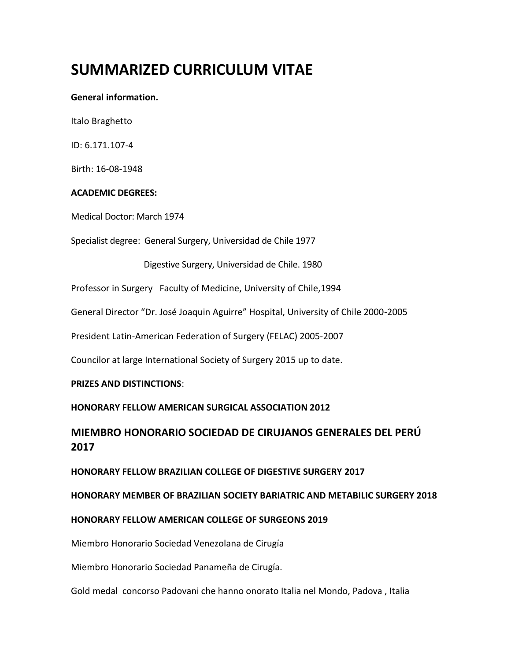# **SUMMARIZED CURRICULUM VITAE**

#### **General information.**

Italo Braghetto

ID: 6.171.107-4

Birth: 16-08-1948

# **ACADEMIC DEGREES:**

Medical Doctor: March 1974

Specialist degree: General Surgery, Universidad de Chile 1977

Digestive Surgery, Universidad de Chile. 1980

Professor in Surgery Faculty of Medicine, University of Chile,1994

General Director "Dr. José Joaquin Aguirre" Hospital, University of Chile 2000-2005

President Latin-American Federation of Surgery (FELAC) 2005-2007

Councilor at large International Society of Surgery 2015 up to date.

#### **PRIZES AND DISTINCTIONS**:

#### **HONORARY FELLOW AMERICAN SURGICAL ASSOCIATION 2012**

# **MIEMBRO HONORARIO SOCIEDAD DE CIRUJANOS GENERALES DEL PERÚ 2017**

**HONORARY FELLOW BRAZILIAN COLLEGE OF DIGESTIVE SURGERY 2017**

**HONORARY MEMBER OF BRAZILIAN SOCIETY BARIATRIC AND METABILIC SURGERY 2018**

# **HONORARY FELLOW AMERICAN COLLEGE OF SURGEONS 2019**

Miembro Honorario Sociedad Venezolana de Cirugía

Miembro Honorario Sociedad Panameña de Cirugía.

Gold medal concorso Padovani che hanno onorato Italia nel Mondo, Padova , Italia